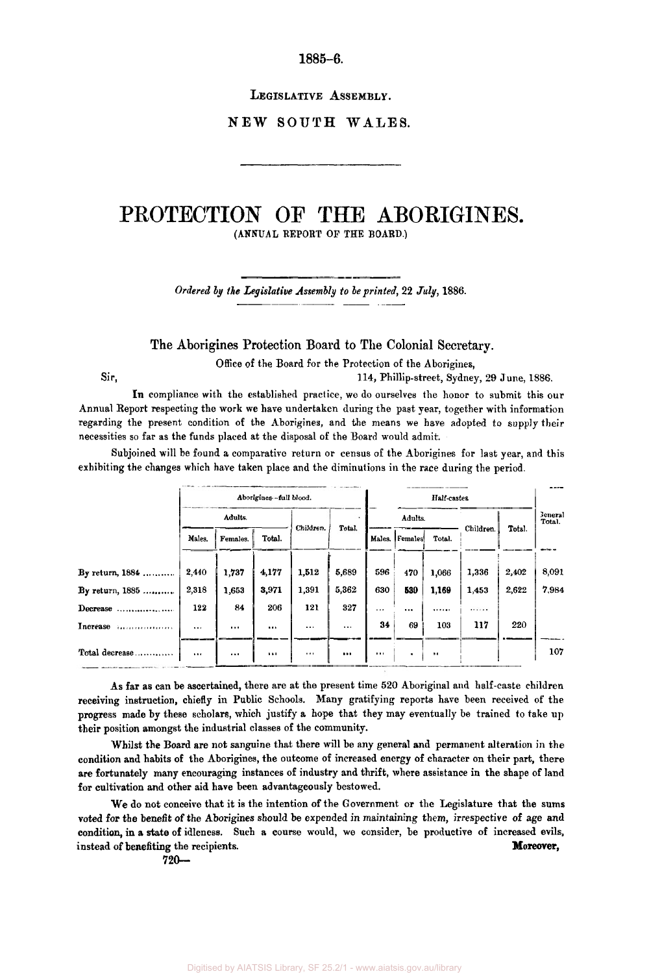**1885-6.** 

**LEGISLATIVE ASSEMBLY.** 

**NEW SOUTH WALES.** 

## **PROTECTION** OF **THE ABORIGINES. (ANNUAL REPORT OF THE BOARD.)**

*Ordered by the Legislative Assembly to be printed, 22 July, 1886.* 

**The Aborigines Protection Board to The Colonial Secretary.** 

Office of the Board for the Protection of the Aborigines,

Sir, **114,** Phillip-street, Sydney, 29 June, 1886.

In compliance with the established practice, we do ourselves the honor to submit this our Annual Report respecting the work we have undertaken during the past year, together with information regarding the present condition of the Aborigines, and the means we have adopted to supply their necessities so far as the funds placed at the disposal of the Board would admit.

Subjoined will be found a comparative return or census of the Aborigines for last year, and this exhibiting the changes which have taken place and the diminutions in the race during the period.

|                                              | Aborigines-full blood. |          |        |           |          | Half-castes  |           |        |           |        |                          |
|----------------------------------------------|------------------------|----------|--------|-----------|----------|--------------|-----------|--------|-----------|--------|--------------------------|
|                                              | Adults.                |          |        |           | $\sim$   | Adults.      |           |        |           |        | <b>Jeneral</b><br>Total. |
|                                              | Males.                 | Females. | Total. | Children. | Total.   | Males.       | Females   | Total. | Children. | Total. |                          |
| By return, $1884$                            | 2,440                  | 1,737    | 4,177  | 1,512     | 5,689    | 596          | 470       | 1,066  | 1,336     | 2,402  | 8,091                    |
| By return, 1885                              | 2,318                  | 1,653    | 3,971  | 1,391     | 5,362    | 630          | 539       | 1,169  | 1,453     | 2,622  | 7,984                    |
| Decrease                                     | 122                    | 84       | 206    | 121       | 327      | <b>A 6.8</b> |           |        |           |        |                          |
| Increase<br><b>Andrew Contract Contracts</b> | 1.1.1                  | $\cdots$ |        | $\cdots$  | $\cdots$ | 34           | 69        | 103    | 117       | 220    |                          |
| Total decrease                               | $\cdots$               | 1.11     |        | $\cdots$  |          | 1.11         | $\bullet$ | 88     |           |        | 107                      |

As far as can be ascertained, there are at the present time *520* Aboriginal and half-caste children receiving instruction, chiefly in Public Schools. Many gratifying reports have been received of the progress made by these scholars, which justify a hope that they may eventually be trained to take **up**  their position amongst the industrial classes of the community.

Whilst the Board are not sanguine that there will be any general and permanent alteration in the condition and habits of the Aborigines, the outcome of increased energy of character on their part, there are fortunately many encouraging instances of industry and thrift, where assistance in the shape of land for cultivation and other aid have been advantageousIy bestowed.

We do not conceive that it is the intention of the Government or the Legislature that the **sums**  voted for the benefit *of* the Aborigines should be expended in maintaining them, irrespective of age and condition, in **a** state of idleness. Such a course would, we consider, be productive of increased evils, instead *of* benefiting the recipients. **Moreover,** 

**720 -**